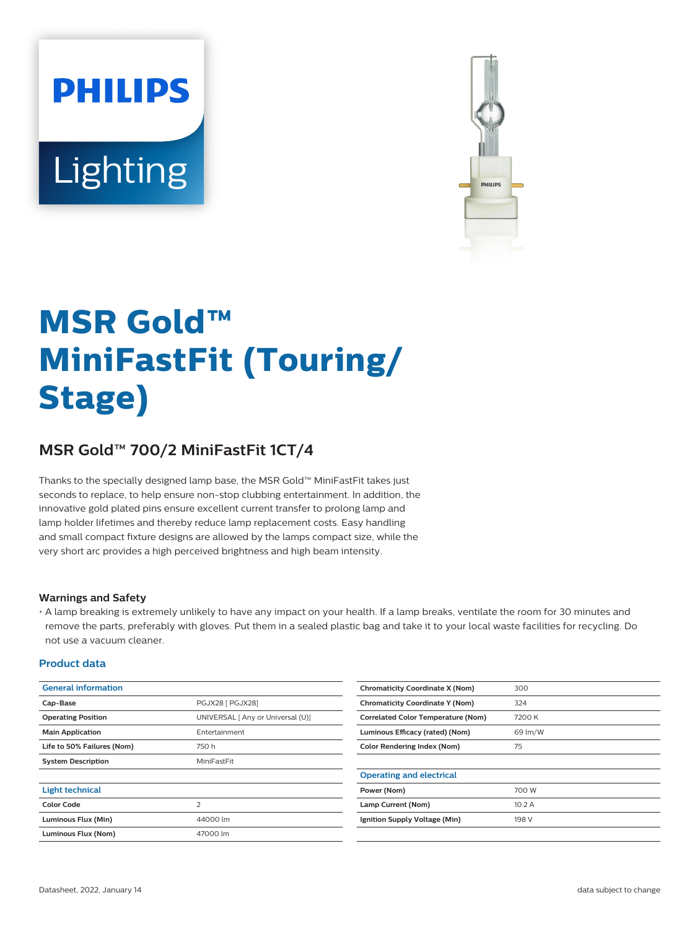# **PHILIPS** Lighting



# **MSR Gold™ MiniFastFit (Touring/ Stage)**

## **MSR Gold™ 700/2 MiniFastFit 1CT/4**

Thanks to the specially designed lamp base, the MSR Gold™ MiniFastFit takes just seconds to replace, to help ensure non-stop clubbing entertainment. In addition, the innovative gold plated pins ensure excellent current transfer to prolong lamp and lamp holder lifetimes and thereby reduce lamp replacement costs. Easy handling and small compact fixture designs are allowed by the lamps compact size, while the very short arc provides a high perceived brightness and high beam intensity.

#### **Warnings and Safety**

• A lamp breaking is extremely unlikely to have any impact on your health. If a lamp breaks, ventilate the room for 30 minutes and remove the parts, preferably with gloves. Put them in a sealed plastic bag and take it to your local waste facilities for recycling. Do not use a vacuum cleaner.

#### **Product data**

| <b>General information</b> |                                   | <b>Chromaticity Coordinate X (Nom)</b>    | 300     |
|----------------------------|-----------------------------------|-------------------------------------------|---------|
| Cap-Base                   | PGJX28 [ PGJX28]                  | <b>Chromaticity Coordinate Y (Nom)</b>    | 324     |
| <b>Operating Position</b>  | UNIVERSAL [ Any or Universal (U)] | <b>Correlated Color Temperature (Nom)</b> | 7200K   |
| <b>Main Application</b>    | Entertainment                     | Luminous Efficacy (rated) (Nom)           | 69 lm/W |
| Life to 50% Failures (Nom) | 750h                              | <b>Color Rendering Index (Nom)</b>        | 75      |
| <b>System Description</b>  | MiniFastFit                       |                                           |         |
|                            |                                   | <b>Operating and electrical</b>           |         |
| <b>Light technical</b>     |                                   | Power (Nom)                               | 700 W   |
| <b>Color Code</b>          | $\overline{\phantom{0}}$          | Lamp Current (Nom)                        | 10.2A   |
| Luminous Flux (Min)        | 44000 lm                          | Ignition Supply Voltage (Min)             | 198 V   |
| Luminous Flux (Nom)        | 47000 lm                          |                                           |         |
|                            |                                   |                                           |         |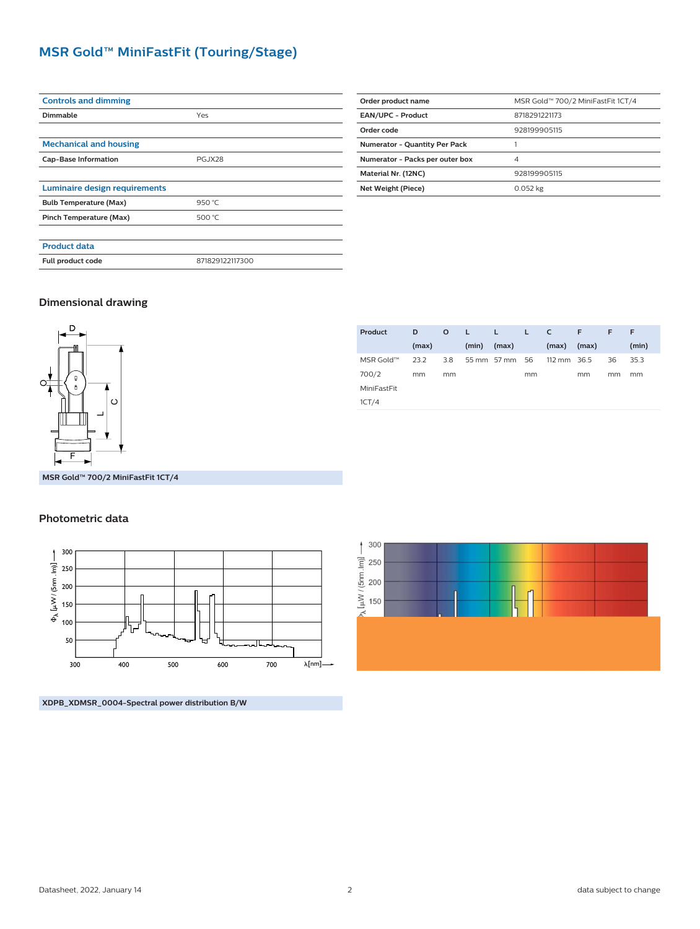### **MSR Gold™ MiniFastFit (Touring/Stage)**

| <b>Controls and dimming</b>   |                 |  |  |
|-------------------------------|-----------------|--|--|
| Dimmable                      | Yes             |  |  |
|                               |                 |  |  |
| <b>Mechanical and housing</b> |                 |  |  |
| <b>Cap-Base Information</b>   | <b>PGJX28</b>   |  |  |
|                               |                 |  |  |
| Luminaire design requirements |                 |  |  |
| <b>Bulb Temperature (Max)</b> | 950 °C          |  |  |
| Pinch Temperature (Max)       | 500 °C          |  |  |
|                               |                 |  |  |
| <b>Product data</b>           |                 |  |  |
| Full product code             | 871829122117300 |  |  |
|                               |                 |  |  |

| Order product name                   | MSR Gold™ 700/2 MiniFastFit 1CT/4 |  |
|--------------------------------------|-----------------------------------|--|
| <b>EAN/UPC - Product</b>             | 8718291221173                     |  |
| Order code                           | 928199905115                      |  |
| <b>Numerator - Quantity Per Pack</b> |                                   |  |
| Numerator - Packs per outer box      | 4                                 |  |
| Material Nr. (12NC)                  | 928199905115                      |  |
| Net Weight (Piece)                   | 0.052 kg                          |  |

#### **Dimensional drawing**



**Product D (max) O L (min) L (max) L C (max) F (max) F F (min)** MSR Gold™ 700/2 MiniFastFit 1CT/4 23.2 mm 3.8 mm 55 mm 57 mm 56 mm 112 mm 36.5 mm 36 mm 35.3 mm

**MSR Gold™ 700/2 MiniFastFit 1CT/4**

#### **Photometric data**



**XDPB\_XDMSR\_0004-Spectral power distribution B/W**